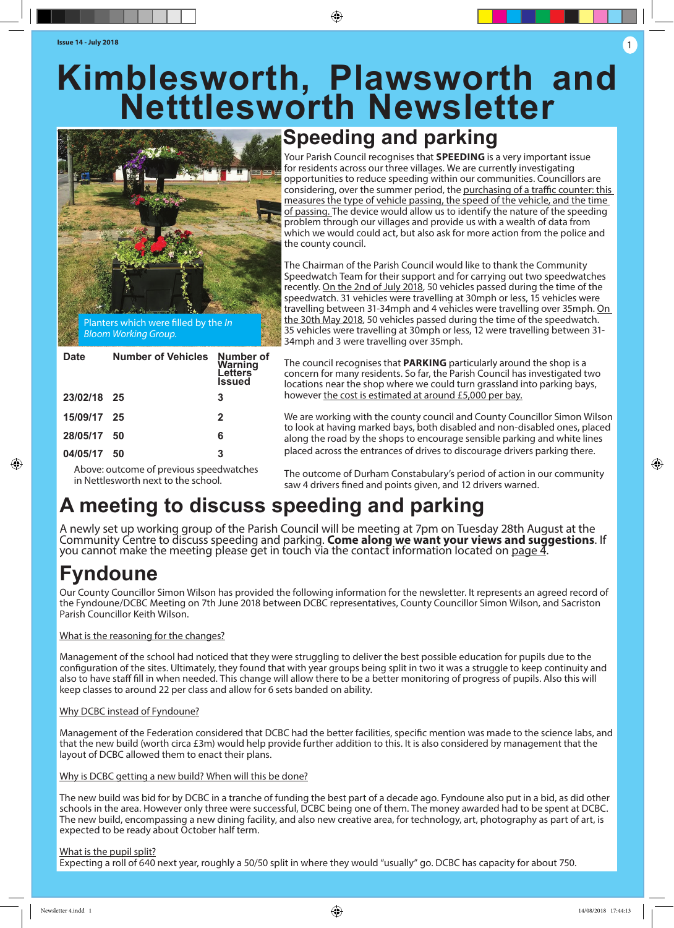# **Kimblesworth, Plawsworth and Netttlesworth Newsletter**

⊕



| <b>Date</b> | <b>Number of Vehicles</b> | Number of<br>Warning<br>Letters<br><b>Issued</b> |
|-------------|---------------------------|--------------------------------------------------|
| 23/02/18 25 |                           | 3                                                |
| 15/09/17 25 |                           | $\mathbf{2}$                                     |
| 28/05/17    | -50                       | 6                                                |
| 04/05/17    | 50                        | 3                                                |

# **Speeding and parking**

Your Parish Council recognises that **SPEEDING** is a very important issue for residents across our three villages. We are currently investigating opportunities to reduce speeding within our communities. Councillors are considering, over the summer period, the purchasing of a traffic counter: this measures the type of vehicle passing, the speed of the vehicle, and the time of passing. The device would allow us to identify the nature of the speeding problem through our villages and provide us with a wealth of data from which we would could act, but also ask for more action from the police and the county council.

The Chairman of the Parish Council would like to thank the Community Speedwatch Team for their support and for carrying out two speedwatches recently. On the 2nd of July 2018, 50 vehicles passed during the time of the speedwatch. 31 vehicles were travelling at 30mph or less, 15 vehicles were travelling between 31-34mph and 4 vehicles were travelling over 35mph. On the 30th May 2018, 50 vehicles passed during the time of the speedwatch. 35 vehicles were travelling at 30mph or less, 12 were travelling between 31- 34mph and 3 were travelling over 35mph.

The council recognises that **PARKING** particularly around the shop is a concern for many residents. So far, the Parish Council has investigated two locations near the shop where we could turn grassland into parking bays, however the cost is estimated at around £5,000 per bay.

We are working with the county council and County Councillor Simon Wilson to look at having marked bays, both disabled and non-disabled ones, placed along the road by the shops to encourage sensible parking and white lines placed across the entrances of drives to discourage drivers parking there.

Above: outcome of previous speedwatches in Nettlesworth next to the school.

The outcome of Durham Constabulary's period of action in our community saw 4 drivers fined and points given, and 12 drivers warned.

# **A meeting to discuss speeding and parking**

A newly set up working group of the Parish Council will be meeting at 7pm on Tuesday 28th August at the Community Centre to discuss speeding and parking. **Come along we want your views and suggestions**. If you cannot make the meeting please get in touch via the contact information located on page  $\overline{4}$ .

# **Fyndoune**

◈

Our County Councillor Simon Wilson has provided the following information for the newsletter. It represents an agreed record of the Fyndoune/DCBC Meeting on 7th June 2018 between DCBC representatives, County Councillor Simon Wilson, and Sacriston Parish Councillor Keith Wilson.

#### What is the reasoning for the changes?

Management of the school had noticed that they were struggling to deliver the best possible education for pupils due to the configuration of the sites. Ultimately, they found that with year groups being split in two it was a struggle to keep continuity and also to have staff fill in when needed. This change will allow there to be a better monitoring of progress of pupils. Also this will keep classes to around 22 per class and allow for 6 sets banded on ability.

#### Why DCBC instead of Fyndoune?

Management of the Federation considered that DCBC had the better facilities, specific mention was made to the science labs, and that the new build (worth circa £3m) would help provide further addition to this. It is also considered by management that the layout of DCBC allowed them to enact their plans.

#### Why is DCBC getting a new build? When will this be done?

The new build was bid for by DCBC in a tranche of funding the best part of a decade ago. Fyndoune also put in a bid, as did other schools in the area. However only three were successful, DCBC being one of them. The money awarded had to be spent at DCBC. The new build, encompassing a new dining facility, and also new creative area, for technology, art, photography as part of art, is expected to be ready about October half term.

#### What is the pupil split?

Expecting a roll of 640 next year, roughly a 50/50 split in where they would "usually" go. DCBC has capacity for about 750.

1

◈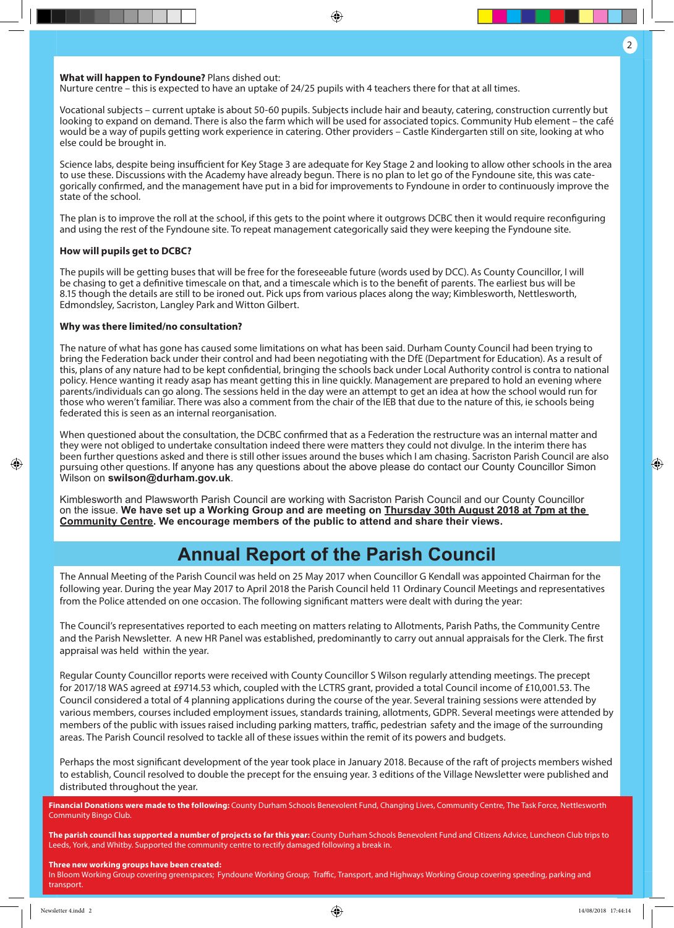◈

#### **What will happen to Fyndoune?** Plans dished out:

Nurture centre – this is expected to have an uptake of 24/25 pupils with 4 teachers there for that at all times.

Vocational subjects – current uptake is about 50-60 pupils. Subjects include hair and beauty, catering, construction currently but looking to expand on demand. There is also the farm which will be used for associated topics. Community Hub element – the café would be a way of pupils getting work experience in catering. Other providers – Castle Kindergarten still on site, looking at who else could be brought in.

◈

Science labs, despite being insufficient for Key Stage 3 are adequate for Key Stage 2 and looking to allow other schools in the area to use these. Discussions with the Academy have already begun. There is no plan to let go of the Fyndoune site, this was categorically confirmed, and the management have put in a bid for improvements to Fyndoune in order to continuously improve the state of the school.

The plan is to improve the roll at the school, if this gets to the point where it outgrows DCBC then it would require reconfiguring and using the rest of the Fyndoune site. To repeat management categorically said they were keeping the Fyndoune site.

#### **How will pupils get to DCBC?**

The pupils will be getting buses that will be free for the foreseeable future (words used by DCC). As County Councillor, I will be chasing to get a definitive timescale on that, and a timescale which is to the benefit of parents. The earliest bus will be 8.15 though the details are still to be ironed out. Pick ups from various places along the way; Kimblesworth, Nettlesworth, Edmondsley, Sacriston, Langley Park and Witton Gilbert.

#### **Why was there limited/no consultation?**

The nature of what has gone has caused some limitations on what has been said. Durham County Council had been trying to bring the Federation back under their control and had been negotiating with the DfE (Department for Education). As a result of this, plans of any nature had to be kept confidential, bringing the schools back under Local Authority control is contra to national policy. Hence wanting it ready asap has meant getting this in line quickly. Management are prepared to hold an evening where parents/individuals can go along. The sessions held in the day were an attempt to get an idea at how the school would run for those who weren't familiar. There was also a comment from the chair of the IEB that due to the nature of this, ie schools being federated this is seen as an internal reorganisation.

When questioned about the consultation, the DCBC confirmed that as a Federation the restructure was an internal matter and they were not obliged to undertake consultation indeed there were matters they could not divulge. In the interim there has been further questions asked and there is still other issues around the buses which I am chasing. Sacriston Parish Council are also pursuing other questions. If anyone has any questions about the above please do contact our County Councillor Simon Wilson on **swilson@durham.gov.uk**.

Kimblesworth and Plawsworth Parish Council are working with Sacriston Parish Council and our County Councillor on the issue. **We have set up a Working Group and are meeting on Thursday 30th August 2018 at 7pm at the Community Centre. We encourage members of the public to attend and share their views.**

## **Annual Report of the Parish Council**

The Annual Meeting of the Parish Council was held on 25 May 2017 when Councillor G Kendall was appointed Chairman for the following year. During the year May 2017 to April 2018 the Parish Council held 11 Ordinary Council Meetings and representatives from the Police attended on one occasion. The following significant matters were dealt with during the year:

The Council's representatives reported to each meeting on matters relating to Allotments, Parish Paths, the Community Centre and the Parish Newsletter. A new HR Panel was established, predominantly to carry out annual appraisals for the Clerk. The first appraisal was held within the year.

Regular County Councillor reports were received with County Councillor S Wilson regularly attending meetings. The precept for 2017/18 WAS agreed at £9714.53 which, coupled with the LCTRS grant, provided a total Council income of £10,001.53. The Council considered a total of 4 planning applications during the course of the year. Several training sessions were attended by various members, courses included employment issues, standards training, allotments, GDPR. Several meetings were attended by members of the public with issues raised including parking matters, traffic, pedestrian safety and the image of the surrounding areas. The Parish Council resolved to tackle all of these issues within the remit of its powers and budgets.

Perhaps the most significant development of the year took place in January 2018. Because of the raft of projects members wished to establish, Council resolved to double the precept for the ensuing year. 3 editions of the Village Newsletter were published and distributed throughout the year.

**Financial Donations were made to the following:** County Durham Schools Benevolent Fund, Changing Lives, Community Centre, The Task Force, Nettlesworth Community Bingo Club.

**The parish council has supported a number of projects so far this year:** County Durham Schools Benevolent Fund and Citizens Advice, Luncheon Club trips to Leeds, York, and Whitby. Supported the community centre to rectify damaged following a break in.

#### **Three new working groups have been created:**

In Bloom Working Group covering greenspaces; Fyndoune Working Group; Traffic, Transport, and Highways Working Group covering speeding, parking and transport.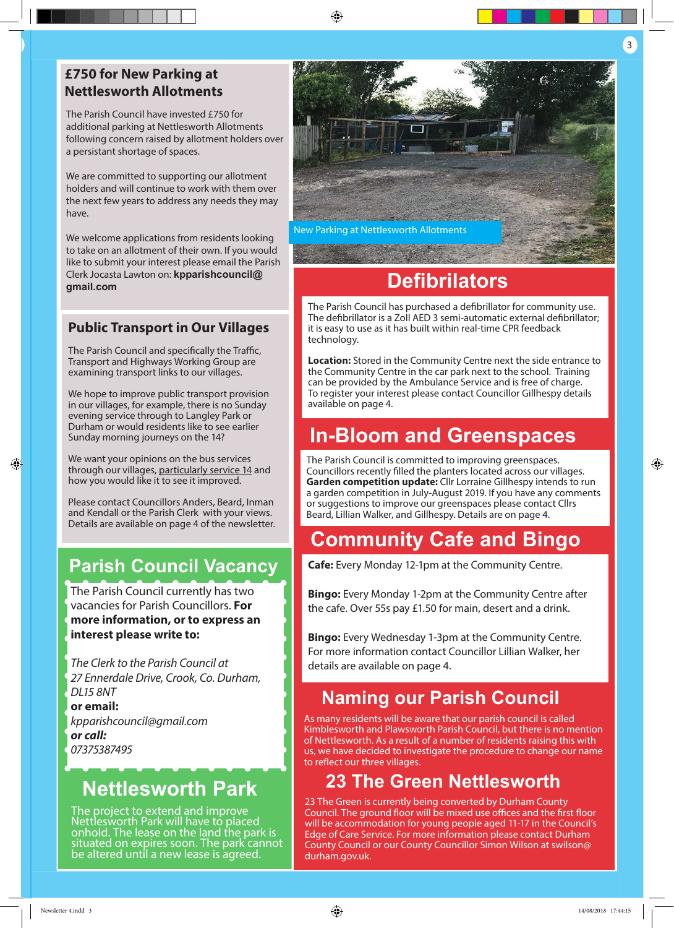## **£750 for New Parking at Nettlesworth Allotments**

The Parish Council have invested £750 for additional parking at Nettlesworth Allotments following concern raised by allotment holders over a persistant shortage of spaces.

We are committed to supporting our allotment holders and will continue to work with them over the next few years to address any needs they may have.

We welcome applications from residents looking to take on an allotment of their own. If you would like to submit your interest please email the Parish Clerk Jocasta Lawton on: **kpparishcouncil@ gmail.com**

### **Public Transport in Our Villages**

The Parish Council and specifically the Traffic, Transport and Highways Working Group are examining transport links to our villages.

We hope to improve public transport provision in our villages, for example, there is no Sunday evening service through to Langley Park or Durham or would residents like to see earlier Sunday morning journeys on the 14?

We want your opinions on the bus services through our villages, particularly service 14 and how you would like it to see it improved.

Please contact Councillors Anders, Beard, Inman and Kendall or the Parish Clerk with your views. Details are available on page 4 of the newsletter.

## **Parish Council Vacancy**

The Parish Council currently has two vacancies for Parish Councillors. **For more information, or to express an interest please write to:** 

*The Clerk to the Parish Council at 27 Ennerdale Drive, Crook, Co. Durham, DL15 8NT*  **or email:** *kpparishcouncil@gmail.com or call: 07375387495*

# **Nettlesworth Park**

The project to extend and improve Nettlesworth Park will have to placed onhold. The lease on the land the park is situated on expires soon. The park cannot be altered until a new lease is agreed.



⊕

# **Defibrilators**

The Parish Council has purchased a defibrillator for community use. The defibrillator is a Zoll AED 3 semi-automatic external defibrillator; it is easy to use as it has built within real-time CPR feedback technology.

**Location:** Stored in the Community Centre next the side entrance to the Community Centre in the car park next to the school. Training can be provided by the Ambulance Service and is free of charge. To register your interest please contact Councillor Gillhespy details available on page 4.

# **In-Bloom and Greenspaces**

The Parish Council is committed to improving greenspaces. Councillors recently filled the planters located across our villages. **Garden competition update:** Cllr Lorraine Gillhespy intends to run a garden competition in July-August 2019. If you have any comments or suggestions to improve our greenspaces please contact Cllrs Beard, Lillian Walker, and Gillhespy. Details are on page 4.

## **Community Cafe and Bingo**

**Cafe:** Every Monday 12-1pm at the Community Centre.

**Bingo:** Every Monday 1-2pm at the Community Centre after the cafe. Over 55s pay £1.50 for main, desert and a drink.

**Bingo:** Every Wednesday 1-3pm at the Community Centre. For more information contact Councillor Lillian Walker, her details are available on page 4.

## **Naming our Parish Council**

As many residents will be aware that our parish council is called Kimblesworth and Plawsworth Parish Council, but there is no mention of Nettlesworth. As a result of a number of residents raising this with us, we have decided to investigate the procedure to change our name to reflect our three villages.

## **23 The Green Nettlesworth**

23 The Green is currently being converted by Durham County Council. The ground floor will be mixed use offices and the first floor will be accommodation for young people aged 11-17 in the Council's Edge of Care Service. For more information please contact Durham County Council or our County Councillor Simon Wilson at swilson@ durham.gov.uk.

 $\overline{\phantom{a}}$  3  $\overline{\phantom{a}}$  3  $\overline{\phantom{a}}$  3  $\overline{\phantom{a}}$  3  $\overline{\phantom{a}}$  3  $\overline{\phantom{a}}$  3  $\overline{\phantom{a}}$  3  $\overline{\phantom{a}}$  3  $\overline{\phantom{a}}$  3  $\overline{\phantom{a}}$  3  $\overline{\phantom{a}}$  3  $\overline{\phantom{a}}$  3  $\overline{\phantom{a}}$  3  $\overline{\phantom{a}}$  3  $\overline{\phantom{a}}$  3  $\overline{\phantom{a}}$ 

◈

◈